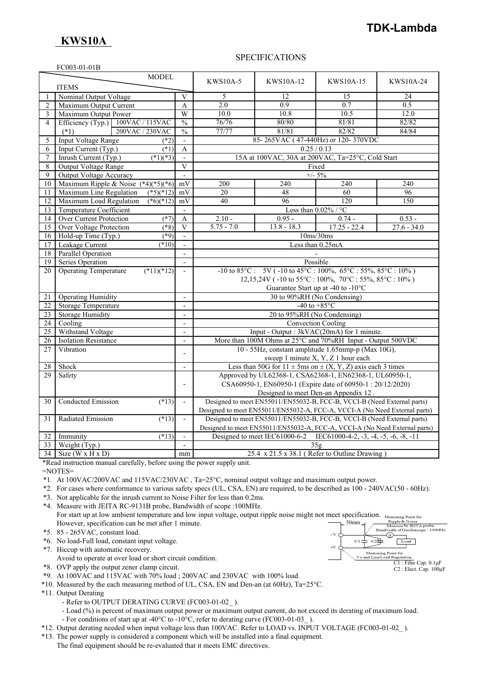## **TDK-Lambda**

## **KWS10A**

### SPECIFICATIONS

|                     | FC003-01-01B                                 |                               |                                                    |                                                                                                                      |                                                        |               |
|---------------------|----------------------------------------------|-------------------------------|----------------------------------------------------|----------------------------------------------------------------------------------------------------------------------|--------------------------------------------------------|---------------|
|                     | <b>MODEL</b>                                 |                               | <b>KWS10A-5</b>                                    |                                                                                                                      |                                                        |               |
|                     | <b>ITEMS</b>                                 |                               |                                                    | KWS10A-12                                                                                                            | KWS10A-15                                              | KWS10A-24     |
| 1                   | Nominal Output Voltage                       | $\mathbf{V}$                  | 5                                                  | 12                                                                                                                   | 15                                                     | 24            |
| $\overline{c}$      | Maximum Output Current                       | A                             | 2.0                                                | 0.9                                                                                                                  | 0.7                                                    | 0.5           |
|                     |                                              | W                             | 10.0                                               | 10.8                                                                                                                 | 10.5                                                   | 12.0          |
| 3<br>$\overline{4}$ | Maximum Output Power<br>100VAC / 115VAC      |                               | 76/76                                              | 80/80                                                                                                                | 81/81                                                  | 82/82         |
|                     | Efficiency (Typ.)<br>200VAC / 230VAC         | $\frac{0}{0}$                 | 77/77                                              | 81/81                                                                                                                | 82/82                                                  | 84/84         |
|                     | $(*1)$                                       | $\frac{0}{0}$                 |                                                    |                                                                                                                      |                                                        |               |
| 5                   | <b>Input Voltage Range</b><br>$(*2)$         |                               | 85-265VAC (47-440Hz) or 120-370VDC<br>0.25 / 0.13  |                                                                                                                      |                                                        |               |
| 6                   | Input Current (Typ.)<br>$(*1)$               |                               |                                                    |                                                                                                                      |                                                        |               |
| $\tau$              | Inrush Current (Typ.)<br>$(*1)(*3)$          |                               | 15A at 100VAC, 30A at 200VAC, Ta=25°C, Cold Start  |                                                                                                                      |                                                        |               |
| 8                   | Output Voltage Range                         |                               | Fixed<br>$+/- 5\%$                                 |                                                                                                                      |                                                        |               |
| 9                   | <b>Output Voltage Accuracy</b>               | $\overline{a}$                |                                                    |                                                                                                                      |                                                        |               |
| 10                  | Maximum Ripple & Noise $(*4)(*5)(*6)$        | mV                            | 200                                                | 240                                                                                                                  | 240                                                    | 240           |
| 11                  | Maximum Line Regulation<br>$(*5)(*12)$       | mV                            | $\overline{20}$                                    | 48                                                                                                                   | 60                                                     | 96            |
| 12                  | Maximum Load Regulation<br>$(*6)(*12)$       | mV                            | 40                                                 | 96                                                                                                                   | 120                                                    | 150           |
| 13                  | Temperature Coefficient                      | $\overline{\phantom{a}}$      |                                                    |                                                                                                                      | Less than $0.02\%$ / $^{\circ} \mathrm C$              |               |
| 14                  | <b>Over Current Protection</b><br>$(*7)$     | A                             | $2.10 -$                                           | $0.95 -$                                                                                                             | $0.74 -$                                               | $0.53 -$      |
| 15                  | <b>Over Voltage Protection</b><br>$(*8)$     | V<br>$\overline{\phantom{a}}$ | $5.75 - 7.0$                                       | $13.8 - 18.3$                                                                                                        | $17.25 - 22.4$                                         | $27.6 - 34.0$ |
| 16                  | Hold-up Time (Typ.)<br>(89)                  |                               | 10ms/30ms                                          |                                                                                                                      |                                                        |               |
| 17                  | Leakage Current<br>$(*10)$                   |                               | Less than 0.25mA                                   |                                                                                                                      |                                                        |               |
| 18                  | Parallel Operation                           |                               |                                                    |                                                                                                                      |                                                        |               |
| 19                  | Series Operation                             |                               | Possible                                           |                                                                                                                      |                                                        |               |
| 20                  | <b>Operating Temperature</b><br>$(*11)(*12)$ | $\overline{a}$                |                                                    | $-10$ to $85^{\circ}$ C: $5V$ ( $-10$ to $45^{\circ}$ C: $100\%$ , $65^{\circ}$ C: $55\%$ , $85^{\circ}$ C: $10\%$ ) |                                                        |               |
|                     |                                              |                               |                                                    | 12,15,24V ( $-10$ to 55°C: $100\%$ , $70\degree$ C: 55%, $85\degree$ C: $10\%$ )                                     |                                                        |               |
|                     |                                              |                               |                                                    |                                                                                                                      | Guarantee Start up at -40 to -10°C                     |               |
| 21                  | <b>Operating Humidity</b>                    | $\overline{\phantom{a}}$      |                                                    |                                                                                                                      | 30 to 90%RH (No Condensing)                            |               |
| 22                  | <b>Storage Temperature</b>                   | $\overline{a}$                |                                                    |                                                                                                                      | -40 to $+85^{\circ}$ C                                 |               |
| 23                  | <b>Storage Humidity</b>                      | $\blacksquare$                |                                                    | 20 to 95%RH (No Condensing)                                                                                          |                                                        |               |
| 24                  | Cooling                                      | $\overline{\phantom{a}}$      |                                                    |                                                                                                                      | <b>Convection Cooling</b>                              |               |
| 25                  | Withstand Voltage                            | $\overline{\phantom{a}}$      |                                                    | Input - Output : 3kVAC(20mA) for 1 minute.                                                                           |                                                        |               |
| 26                  | <b>Isolation Resistance</b>                  | $\blacksquare$                |                                                    | More than 100M Ohms at 25°C and 70%RH Input - Output 500VDC                                                          |                                                        |               |
| 27                  | Vibration                                    | $\overline{a}$                | 10 - 55Hz, constant amplitude 1.65mmp-p (Max 10G), |                                                                                                                      |                                                        |               |
|                     |                                              |                               | sweep 1 minute X, Y, Z 1 hour each                 |                                                                                                                      |                                                        |               |
| 28                  | Shock                                        | $\overline{a}$                |                                                    | Less than 50G for $11 \pm 5$ ms on $\pm (X, Y, Z)$ axis each 3 times                                                 |                                                        |               |
| 29                  | Safety                                       |                               |                                                    | Approved by UL62368-1, CSA62368-1, EN62368-1, UL60950-1,                                                             |                                                        |               |
|                     |                                              | $\overline{a}$                |                                                    | CSA60950-1, EN60950-1 (Expire date of 60950-1:20/12/2020)                                                            |                                                        |               |
|                     |                                              |                               |                                                    |                                                                                                                      | Designed to meet Den-an Appendix 12.                   |               |
| 30                  | <b>Conducted Emission</b><br>$(*13)$         | $\blacksquare$                |                                                    | Designed to meet EN55011/EN55032-B, FCC-B, VCCI-B (Need External parts)                                              |                                                        |               |
|                     |                                              |                               |                                                    | Designed to meet EN55011/EN55032-A, FCC-A, VCCI-A (No Need External parts)                                           |                                                        |               |
| 31                  | (13)<br>Radiated Emission                    | $\mathcal{L}$                 |                                                    | Designed to meet EN55011/EN55032-B, FCC-B, VCCI-B (Need External parts)                                              |                                                        |               |
|                     |                                              |                               |                                                    | Designed to meet EN55011/EN55032-A, FCC-A, VCCI-A (No Need External parts)                                           |                                                        |               |
| 32                  | $(*13)$<br>Immunity                          |                               |                                                    | Designed to meet IEC61000-6-2                                                                                        | IEC61000-4-2, $-3$ , $-4$ , $-5$ , $-6$ , $-8$ , $-11$ |               |
| 33                  | Weight (Typ.)                                | $\overline{\phantom{a}}$      |                                                    |                                                                                                                      | 35g                                                    |               |
|                     | $34$ Size (W x H x D)                        | mm                            |                                                    | $25.4 \times 21.5 \times 38.1$ (Refer to Outline Drawing)                                                            |                                                        |               |

\*Read instruction manual carefully, before using the power supply unit.

=NOTES=

- \*1. At 100VAC/200VAC and 115VAC/230VAC , Ta=25°C, nominal output voltage and maximum output power.
- \*2. For cases where conformance to various safety specs (UL, CSA, EN) are required, to be described as 100 240VAC(50 60Hz).
- \*3. Not applicable for the inrush current to Noise Filter for less than 0.2ms.
- \*4. Measure with JEITA RC-9131B probe, Bandwidth of scope :100MHz. For start up at low ambient temperature and low input voltage, output ripple noise might not meet specification. Measuring Point for However, specification can be met after 1 minute. 50mm
- \*5. 85 265VAC, constant load.
- \*6. No load-Full load, constant input voltage.
- \*7. Hiccup with automatic recovery.
- Avoid to operate at over load or short circuit condition.
- \*8. OVP apply the output zener clamp circuit.
- \*9. At 100VAC and 115VAC with 70% load ; 200VAC and 230VAC with 100% load.
- \*10. Measured by the each measuring method of UL, CSA, EN and Den-an (at 60Hz), Ta=25°C.
- \*11. Output Derating
	- Refer to OUTPUT DERATING CURVE (FC003-01-02).
	- Load (%) is percent of maximum output power or maximum output current, do not exceed its derating of maximum load.
	- For conditions of start up at -40°C to -10°C, refer to derating curve (FC003-01-03\_ ).
- \*12. Output derating needed when input voltage less than 100VAC. Refer to LOAD vs. INPUT VOLTAGE (FC003-01-02\_ ).
- \*13. The power supply is considered a component which will be installed into a final equipment.
	- The final equipment should be re-evaluated that it meets EMC directives.

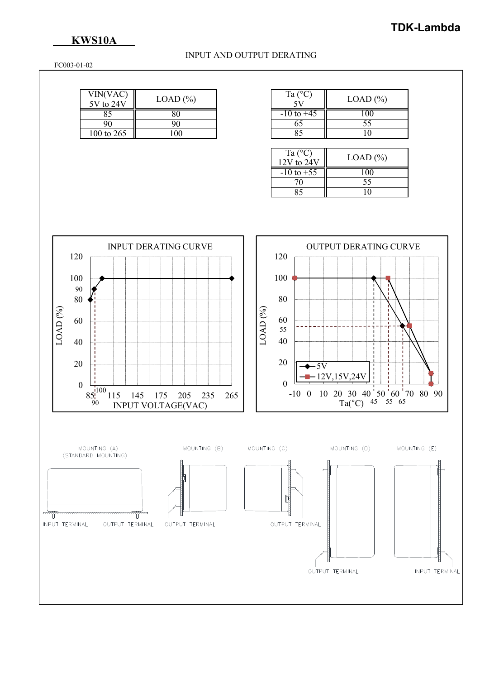# **TDK-Lambda**

### **KWS10A**

#### INPUT AND OUTPUT DERATING

FC003-01-02

| VIN(VAC)<br>5V to 24V | $LOAD$ $%$ | Ta $(^{\circ}C)$ | $LOAD$ (%) |
|-----------------------|------------|------------------|------------|
| oJ                    |            | $-10$ to $+45$   | -00        |
|                       |            |                  |            |
| 100 to 265            | .00        |                  |            |

| Ta $(^{\circ}C)$ | $LOAD$ $(\% )$ |
|------------------|----------------|
| $-10$ to $+45$   | I ()()         |
| 65               | 55             |
|                  |                |

| Ta $(^{\circ}C)$<br>$12V$ to $24V$ | $LOAD (\% )$ |
|------------------------------------|--------------|
| $-10$ to $+55$                     |              |
| 70                                 | 55           |
|                                    |              |